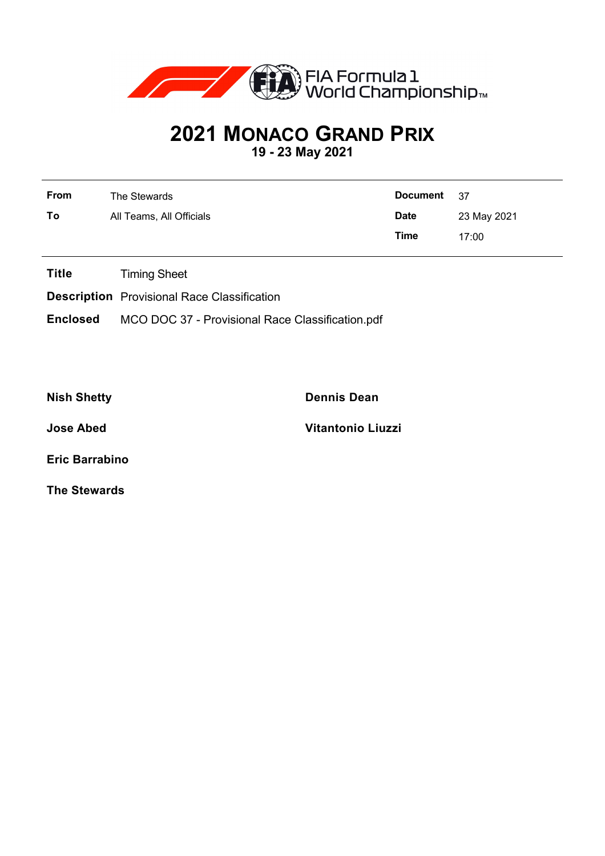

## **2021 MONACO GRAND PRIX**

**19 - 23 May 2021**

| <b>From</b> | The Stewards             | <b>Document</b> | - 37        |
|-------------|--------------------------|-----------------|-------------|
| To          | All Teams, All Officials | <b>Date</b>     | 23 May 2021 |
|             |                          | Time            | 17:00       |

**Title** Timing Sheet

**Description** Provisional Race Classification

**Enclosed** MCO DOC 37 - Provisional Race Classification.pdf

**Nish Shetty Dennis Dean**

**Jose Abed Vitantonio Liuzzi**

**Eric Barrabino**

**The Stewards**